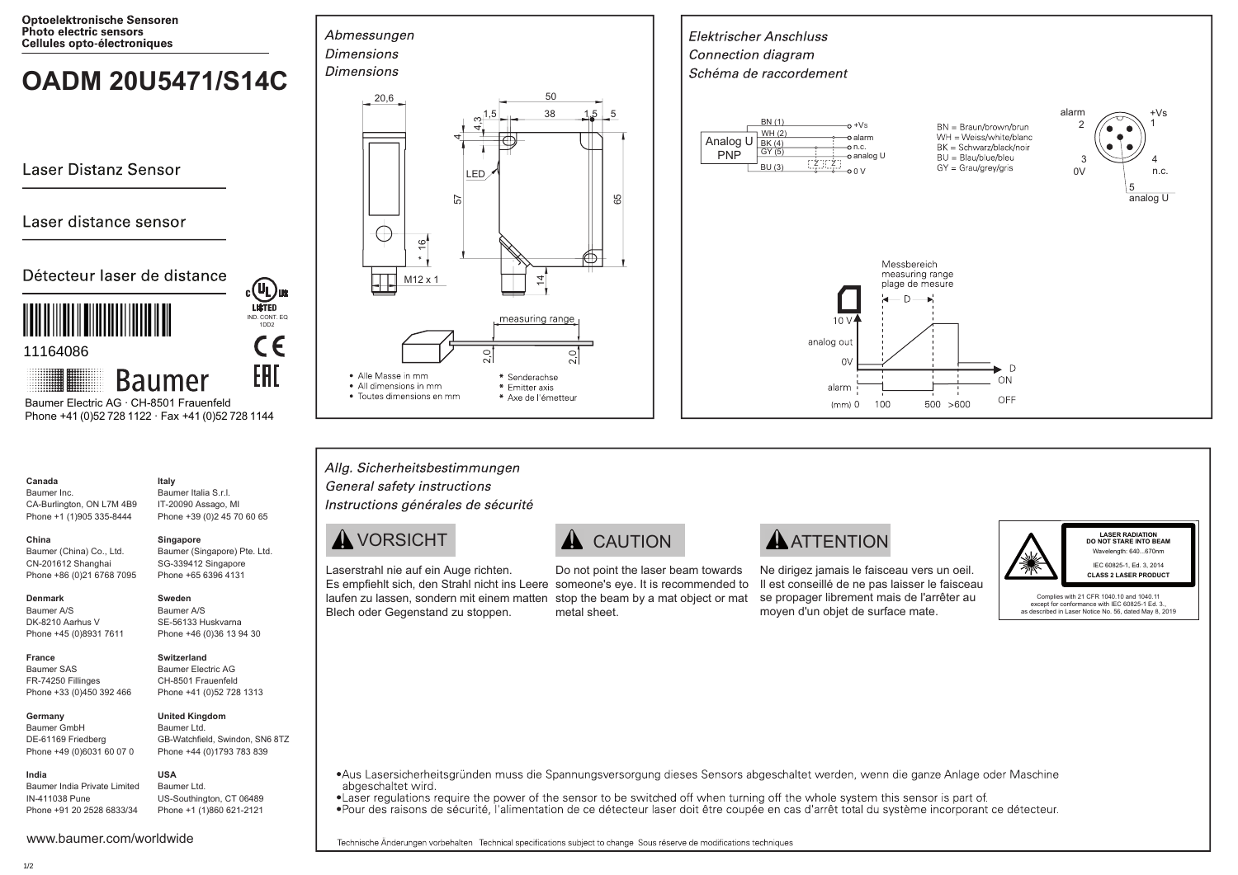**Optoelektronische Sensoren** Photo electric sensors Cellules opto-électroniques

# **OADM 20U5471/S14C**

**Laser Distanz Sensor** 

## Laser distance sensor

### Détecteur laser de distance



11164086

**Baumer** 

 Phone +41 (0)52 728 1122 · Fax +41 (0)52 728 1144 Baumer Electric AG · CH-8501 Frauenfeld

**Italy**

IND. CONT. EQ 1DD2

CE

EAL

**COL**US

#### **Canada** Baumer Inc.

CA-Burlington, ON L7M 4B9 Phone +1 (1)905 335-8444 Baumer Italia S.r.l. IT-20090 Assago, MI Phone +39 (0)2 45 70 60 65

#### **China**

Baumer (China) Co., Ltd. CN-201612 Shanghai Phone +86 (0)21 6768 7095 **Singapore** Baumer (Singapore) Pte. Ltd. SG-339412 Singapore Phone +65 6396 4131

#### **Denmark**

**France** Baumer SAS FR-74250 Fillinges

Baumer A/S DK-8210 Aarhus V Phone +45 (0)8931 7611

#### **Switzerland**

**Sweden** Baumer A/S SE-56133 Huskvarna Phone +46 (0)36 13 94 30

Phone +33 (0)450 392 466 Baumer Electric AG CH-8501 Frauenfeld Phone +41 (0)52 728 1313

**Germany**  Baumer GmbH DE-61169 Friedberg Phone +49 (0)6031 60 07 0

**United Kingdom** Baumer Ltd. GB-Watchfield, Swindon, SN6 8TZ Phone +44 (0)1793 783 839

#### **USA**

Baumer India Private Limited IN-411038 Pune Phone +91 20 2528 6833/34

#### Baumer Ltd. US-Southington, CT 06489 Phone +1 (1)860 621-2121







 $500 > 600$ 

#### Allg. Sicherheitsbestimmungen General safety instructions Instructions générales de sécurité

# $\mathbf \Lambda$  VORSICHT  $\mathbf \Lambda$  CAUTION  $\mathbf \Lambda$  ATTENTION

Laserstrahl nie auf ein Auge richten. Blech oder Gegenstand zu stoppen.

Es empfiehlt sich, den Strahl nicht ins Leere someone's eye. It is recommended to laufen zu lassen, sondern mit einem matten stop the beam by a mat object or mat Do not point the laser beam towards metal sheet.

 $(mm)$  0

100

Ne dirigez jamais le faisceau vers un oeil. Il est conseillé de ne pas laisser le faisceau se propager librement mais de l'arrêter au moyen d'un objet de surface mate.



OFF

**LASER RADIATION DO NOT STARE INTO BEAM** Wavelength: 640 670nm IEC 60825-1, Ed. 3, 2014 **CLASS 2 LASER PRODUCT**

Complies with 21 CFR 1040.10 and 1040.11 except for conformance with IEC 60825-1 Ed. 3. as described in Laser Notice No. 56, dated May 8, 2019

•Aus Lasersicherheitsgründen muss die Spannungsversorgung dieses Sensors abgeschaltet werden, wenn die ganze Anlage oder Maschine abgeschaltet wird.

• Laser regulations require the power of the sensor to be switched off when turning off the whole system this sensor is part of.

•Pour des raisons de sécurité, l'alimentation de ce détecteur laser doit être coupée en cas d'arrêt total du système incorporant ce détecteur.

Technische Änderungen vorbehalten Technical specifications subject to change Sous réserve de modifications techniques

**India**